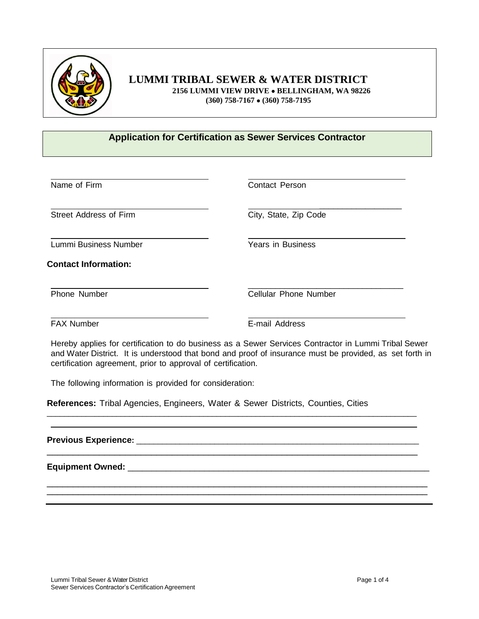

# **LUMMI TRIBAL SEWER & WATER DISTRICT**

 **2156 LUMMI VIEW DRIVE BELLINGHAM, WA 98226 (360) 758-7167 (360) 758-7195**

#### **Application for Certification as Sewer Services Contractor**

Street Address of Firm City, State, Zip Code

Lummi Business Number Years in Business

**Contact Information:**

Name of Firm **Contact Person** 

\_\_\_\_\_\_\_\_\_\_\_\_\_\_\_\_\_\_

\_\_\_\_\_\_\_\_\_\_\_\_\_\_\_\_\_\_\_\_\_\_\_\_\_\_\_\_\_\_\_\_\_\_ Phone Number Cellular Phone Number

FAX Number E-mail Address

Hereby applies for certification to do business as a Sewer Services Contractor in Lummi Tribal Sewer and Water District. It is understood that bond and proof of insurance must be provided, as set forth in certification agreement, prior to approval of certification.

\_\_\_\_\_\_\_\_\_\_\_\_\_\_\_\_\_\_\_\_\_\_\_\_\_\_\_\_\_\_\_\_\_\_\_\_\_\_\_\_\_\_\_\_\_\_\_\_\_\_\_\_\_\_\_\_\_\_\_\_\_\_\_\_\_\_\_\_\_\_\_\_\_\_\_\_\_\_\_\_\_\_\_\_\_

\_\_\_\_\_\_\_\_\_\_\_\_\_\_\_\_\_\_\_\_\_\_\_\_\_\_\_\_\_\_\_\_\_\_\_\_\_\_\_\_\_\_\_\_\_\_\_\_\_\_\_\_\_\_\_\_\_\_\_\_\_\_\_\_\_\_\_\_\_\_\_

\_\_\_\_\_\_\_\_\_\_\_\_\_\_\_\_\_\_\_\_\_\_\_\_\_\_\_\_\_\_\_\_\_\_\_\_\_\_\_\_\_\_\_\_\_\_\_\_\_\_\_\_\_\_\_\_\_\_\_\_\_\_\_\_\_\_\_\_\_\_\_\_\_ \_\_\_\_\_\_\_\_\_\_\_\_\_\_\_\_\_\_\_\_\_\_\_\_\_\_\_\_\_\_\_\_\_\_\_\_\_\_\_\_\_\_\_\_\_\_\_\_\_\_\_\_\_\_\_\_\_\_\_\_\_\_\_\_\_\_\_\_\_\_\_\_\_

The following information is provided for consideration:

**References:** Tribal Agencies, Engineers, Water & Sewer Districts, Counties, Cities

**Previous Experience:** \_\_\_\_\_\_\_\_\_\_\_\_\_\_\_\_\_\_\_\_\_\_\_\_\_\_\_\_\_\_\_\_\_\_\_\_\_\_\_\_\_\_\_\_\_\_\_\_\_\_\_\_\_\_\_\_\_\_\_\_\_\_\_\_\_

**Equipment Owned:** \_\_\_\_\_\_\_\_\_\_\_\_\_\_\_\_\_\_\_\_\_\_\_\_\_\_\_\_\_\_\_\_\_\_\_\_\_\_\_\_\_\_\_\_\_\_\_\_\_\_\_\_\_\_\_\_\_\_\_\_\_\_\_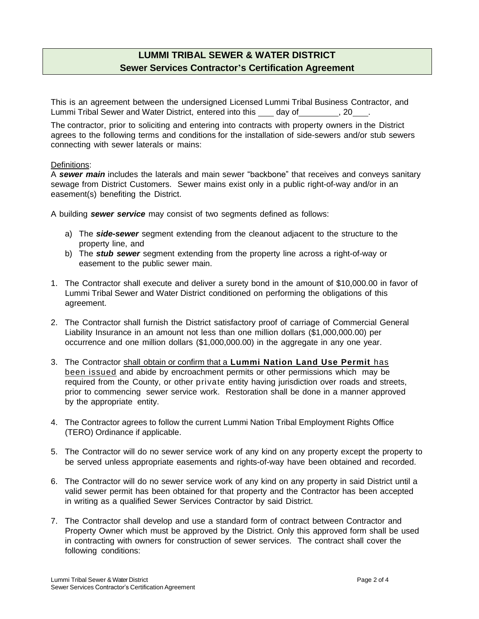# **LUMMI TRIBAL SEWER & WATER DISTRICT Sewer Services Contractor's Certification Agreement**

This is an agreement between the undersigned Licensed Lummi Tribal Business Contractor, and Lummi Tribal Sewer and Water District, entered into this day of Fig. 20 .

The contractor, prior to soliciting and entering into contracts with property owners in the District agrees to the following terms and conditions for the installation of side-sewers and/or stub sewers connecting with sewer laterals or mains:

#### Definitions:

A *sewer main* includes the laterals and main sewer "backbone" that receives and conveys sanitary sewage from District Customers. Sewer mains exist only in a public right-of-way and/or in an easement(s) benefiting the District.

A building *sewer service* may consist of two segments defined as follows:

- a) The *side-sewer* segment extending from the cleanout adjacent to the structure to the property line, and
- b) The *stub sewer* segment extending from the property line across a right-of-way or easement to the public sewer main.
- 1. The Contractor shall execute and deliver a surety bond in the amount of \$10,000.00 in favor of Lummi Tribal Sewer and Water District conditioned on performing the obligations of this agreement.
- 2. The Contractor shall furnish the District satisfactory proof of carriage of Commercial General Liability Insurance in an amount not less than one million dollars (\$1,000,000.00) per occurrence and one million dollars (\$1,000,000.00) in the aggregate in any one year.
- 3. The Contractor shall obtain or confirm that a **Lummi Nation Land Use Permit** has been issued and abide by encroachment permits or other permissions which may be required from the County, or other private entity having jurisdiction over roads and streets, prior to commencing sewer service work. Restoration shall be done in a manner approved by the appropriate entity.
- 4. The Contractor agrees to follow the current Lummi Nation Tribal Employment Rights Office (TERO) Ordinance if applicable.
- 5. The Contractor will do no sewer service work of any kind on any property except the property to be served unless appropriate easements and rights-of-way have been obtained and recorded.
- 6. The Contractor will do no sewer service work of any kind on any property in said District until a valid sewer permit has been obtained for that property and the Contractor has been accepted in writing as a qualified Sewer Services Contractor by said District.
- 7. The Contractor shall develop and use a standard form of contract between Contractor and Property Owner which must be approved by the District. Only this approved form shall be used in contracting with owners for construction of sewer services. The contract shall cover the following conditions: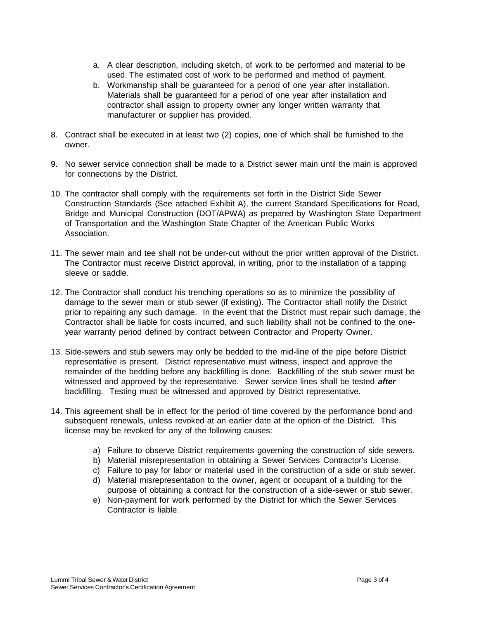- a. A clear description, including sketch, of work to be performed and material to be used. The estimated cost of work to be performed and method of payment.
- b. Workmanship shall be guaranteed for a period of one year after installation. Materials shall be guaranteed for a period of one year after installation and contractor shall assign to property owner any longer written warranty that manufacturer or supplier has provided.
- 8. Contract shall be executed in at least two (2) copies, one of which shall be furnished to the owner.
- 9. No sewer service connection shall be made to a District sewer main until the main is approved for connections by the District.
- 10. The contractor shall comply with the requirements set forth in the District Side Sewer Construction Standards (See attached Exhibit A), the current Standard Specifications for Road, Bridge and Municipal Construction (DOT/APWA) as prepared by Washington State Department of Transportation and the Washington State Chapter of the American Public Works Association.
- 11. The sewer main and tee shall not be under-cut without the prior written approval of the District. The Contractor must receive District approval, in writing, prior to the installation of a tapping sleeve or saddle.
- 12. The Contractor shall conduct his trenching operations so as to minimize the possibility of damage to the sewer main or stub sewer (if existing). The Contractor shall notify the District prior to repairing any such damage. In the event that the District must repair such damage, the Contractor shall be liable for costs incurred, and such liability shall not be confined to the oneyear warranty period defined by contract between Contractor and Property Owner.
- 13. Side-sewers and stub sewers may only be bedded to the mid-line of the pipe before District representative is present. District representative must witness, inspect and approve the remainder of the bedding before any backfilling is done. Backfilling of the stub sewer must be witnessed and approved by the representative. Sewer service lines shall be tested *after* backfilling. Testing must be witnessed and approved by District representative.
- 14. This agreement shall be in effect for the period of time covered by the performance bond and subsequent renewals, unless revoked at an earlier date at the option of the District. This license may be revoked for any of the following causes:
	- a) Failure to observe District requirements governing the construction of side sewers.
	- b) Material misrepresentation in obtaining a Sewer Services Contractor's License.
	- c) Failure to pay for labor or material used in the construction of a side or stub sewer.
	- d) Material misrepresentation to the owner, agent or occupant of a building for the purpose of obtaining a contract for the construction of a side-sewer or stub sewer.
	- e) Non-payment for work performed by the District for which the Sewer Services Contractor is liable.